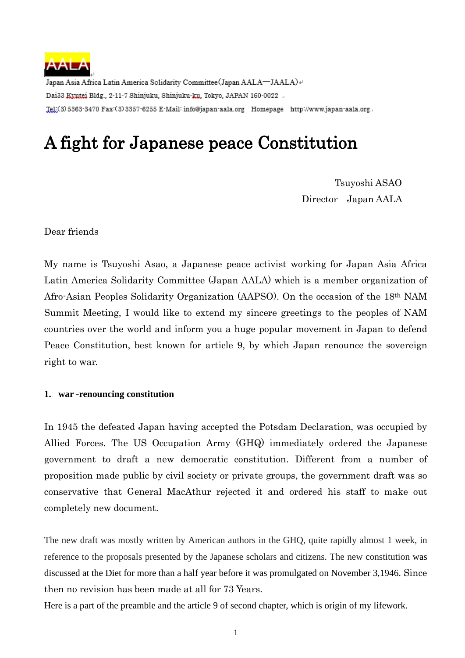

Japan Asia Africa Latin America Solidarity Committee (Japan AALA-JAALA) + Dai33 Kyutei Bldg., 2-11-7 Shinjuku, Shinjuku-ku, Tokyo, JAPAN 160-0022 .. Tel:(3)5363-3470 Fax:(3)3357-6255 E-Mail: info@japan-aala.org Homepage http://www.japan-aala.org.,

# A fight for Japanese peace Constitution

 Tsuyoshi ASAO Director Japan AALA

Dear friends

My name is Tsuyoshi Asao, a Japanese peace activist working for Japan Asia Africa Latin America Solidarity Committee (Japan AALA) which is a member organization of Afro-Asian Peoples Solidarity Organization (AAPSO). On the occasion of the 18th NAM Summit Meeting, I would like to extend my sincere greetings to the peoples of NAM countries over the world and inform you a huge popular movement in Japan to defend Peace Constitution, best known for article 9, by which Japan renounce the sovereign right to war.

### **1. war -renouncing constitution**

In 1945 the defeated Japan having accepted the Potsdam Declaration, was occupied by Allied Forces. The US Occupation Army (GHQ) immediately ordered the Japanese government to draft a new democratic constitution. Different from a number of proposition made public by civil society or private groups, the government draft was so conservative that General MacAthur rejected it and ordered his staff to make out completely new document.

The new draft was mostly written by American authors in the GHQ, quite rapidly almost 1 week, in reference to the proposals presented by the Japanese scholars and citizens. The new constitution was discussed at the Diet for more than a half year before it was promulgated on November 3,1946. Since then no revision has been made at all for 73 Years.

Here is a part of the preamble and the article 9 of second chapter, which is origin of my lifework.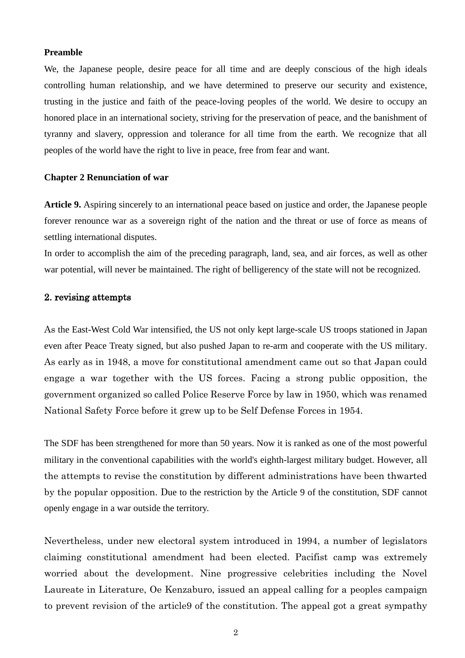#### **Preamble**

We, the Japanese people, desire peace for all time and are deeply conscious of the high ideals controlling human relationship, and we have determined to preserve our security and existence, trusting in the justice and faith of the peace-loving peoples of the world. We desire to occupy an honored place in an international society, striving for the preservation of peace, and the banishment of tyranny and slavery, oppression and tolerance for all time from the earth. We recognize that all peoples of the world have the right to live in peace, free from fear and want.

#### **Chapter 2 Renunciation of war**

**Article 9.** Aspiring sincerely to an international peace based on justice and order, the Japanese people forever renounce war as a sovereign right of the nation and the threat or use of force as means of settling international disputes.

In order to accomplish the aim of the preceding paragraph, land, sea, and air forces, as well as other war potential, will never be maintained. The right of belligerency of the state will not be recognized.

## 2. revising attempts

As the East-West Cold War intensified, the US not only kept large-scale US troops stationed in Japan even after Peace Treaty signed, but also pushed Japan to re-arm and cooperate with the US military. As early as in 1948, a move for constitutional amendment came out so that Japan could engage a war together with the US forces. Facing a strong public opposition, the government organized so called Police Reserve Force by law in 1950, which was renamed National Safety Force before it grew up to be Self Defense Forces in 1954.

The SDF has been strengthened for more than 50 years. Now it is ranked as one of the most powerful military in the conventional capabilities with the world's [eighth-largest military budget.](https://en.wikipedia.org/wiki/List_of_countries_by_military_expenditures) However, all the attempts to revise the constitution by different administrations have been thwarted by the popular opposition. Due to the restriction by the Article 9 of the constitution, SDF cannot openly engage in a war outside the territory.

Nevertheless, under new electoral system introduced in 1994, a number of legislators claiming constitutional amendment had been elected. Pacifist camp was extremely worried about the development. Nine progressive celebrities including the Novel Laureate in Literature, Oe Kenzaburo, issued an appeal calling for a peoples campaign to prevent revision of the article9 of the constitution. The appeal got a great sympathy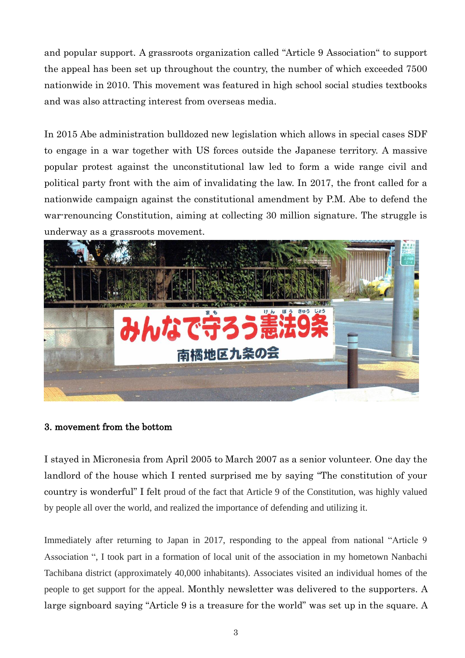and popular support. A grassroots organization called "Article 9 Association" to support the appeal has been set up throughout the country, the number of which exceeded 7500 nationwide in 2010. This movement was featured in high school social studies textbooks and was also attracting interest from overseas media.

In 2015 Abe administration bulldozed new legislation which allows in special cases SDF to engage in a war together with US forces outside the Japanese territory. A massive popular protest against the unconstitutional law led to form a wide range civil and political party front with the aim of invalidating the law. In 2017, the front called for a nationwide campaign against the constitutional amendment by P.M. Abe to defend the war-renouncing Constitution, aiming at collecting 30 million signature. The struggle is underway as a grassroots movement.



## 3. movement from the bottom

I stayed in Micronesia from April 2005 to March 2007 as a senior volunteer. One day the landlord of the house which I rented surprised me by saying "The constitution of your country is wonderful" I felt proud of the fact that Article 9 of the Constitution, was highly valued by people all over the world, and realized the importance of defending and utilizing it.

Immediately after returning to Japan in 2017, responding to the appeal from national "Article 9 Association ", I took part in a formation of local unit of the association in my hometown Nanbachi Tachibana district (approximately 40,000 inhabitants). Associates visited an individual homes of the people to get support for the appeal. Monthly newsletter was delivered to the supporters. A large signboard saying "Article 9 is a treasure for the world" was set up in the square. A